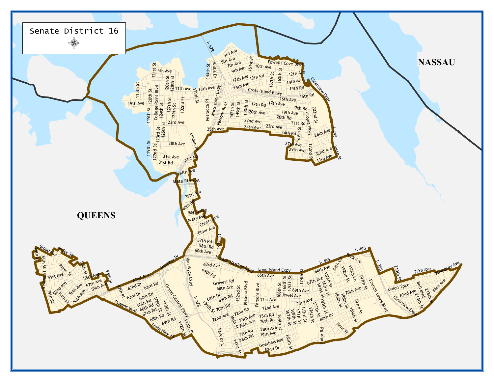